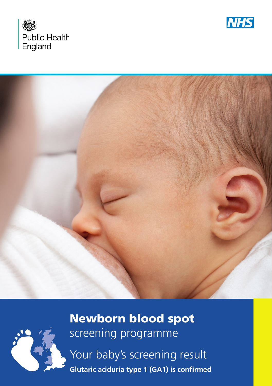







Newborn blood spot screening programme Your baby's screening result **Glutaric aciduria type 1 (GA1) is confirmed**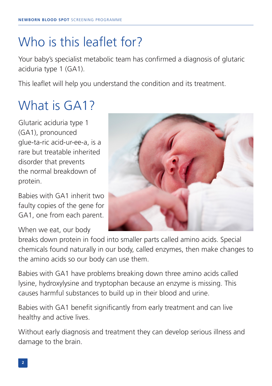## Who is this leaflet for?

Your baby's specialist metabolic team has confirmed a diagnosis of glutaric aciduria type 1 (GA1).

This leaflet will help you understand the condition and its treatment.

## What is GA1?

Glutaric aciduria type 1 (GA1), pronounced glue-ta-ric acid-ur-ee-a, is a rare but treatable inherited disorder that prevents the normal breakdown of protein.

Babies with GA1 inherit two faulty copies of the gene for GA1, one from each parent.

When we eat, our body



breaks down protein in food into smaller parts called amino acids. Special chemicals found naturally in our body, called enzymes, then make changes to the amino acids so our body can use them.

Babies with GA1 have problems breaking down three amino acids called lysine, hydroxylysine and tryptophan because an enzyme is missing. This causes harmful substances to build up in their blood and urine.

Babies with GA1 benefit significantly from early treatment and can live healthy and active lives.

Without early diagnosis and treatment they can develop serious illness and damage to the brain.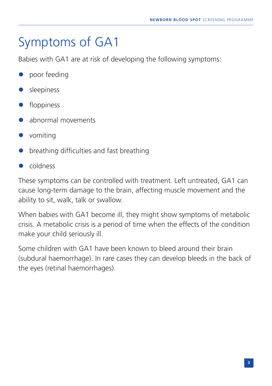## Symptoms of GA1

Babies with GA1 are at risk of developing the following symptoms:

- poor feeding
- sleepiness
- **·** floppiness
- l abnormal movements
- $\bullet$  vomiting
- l breathing difficulties and fast breathing
- l coldness

These symptoms can be controlled with treatment. Left untreated, GA1 can cause long-term damage to the brain, affecting muscle movement and the ability to sit, walk, talk or swallow.

When babies with GA1 become ill, they might show symptoms of metabolic crisis. A metabolic crisis is a period of time when the effects of the condition make your child seriously ill.

Some children with GA1 have been known to bleed around their brain (subdural haemorrhage). In rare cases they can develop bleeds in the back of the eyes (retinal haemorrhages).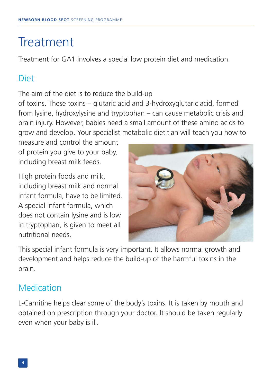## **Treatment**

Treatment for GA1 involves a special low protein diet and medication.

### **Diet**

The aim of the diet is to reduce the build-up

of toxins. These toxins – glutaric acid and 3-hydroxyglutaric acid, formed from lysine, hydroxylysine and tryptophan – can cause metabolic crisis and brain injury. However, babies need a small amount of these amino acids to grow and develop. Your specialist metabolic dietitian will teach you how to

measure and control the amount of protein you give to your baby, including breast milk feeds.

High protein foods and milk, including breast milk and normal infant formula, have to be limited. A special infant formula, which does not contain lysine and is low in tryptophan, is given to meet all nutritional needs.



This special infant formula is very important. It allows normal growth and development and helps reduce the build-up of the harmful toxins in the brain.

### **Medication**

L-Carnitine helps clear some of the body's toxins. It is taken by mouth and obtained on prescription through your doctor. It should be taken regularly even when your baby is ill.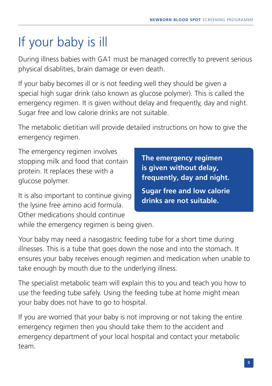# If your baby is ill

During illness babies with GA1 must be managed correctly to prevent serious physical disablities, brain damage or even death.

If your baby becomes ill or is not feeding well they should be given a special high sugar drink (also known as glucose polymer). This is called the emergency regimen. It is given without delay and frequently, day and night. Sugar free and low calorie drinks are not suitable.

The metabolic dietitian will provide detailed instructions on how to give the emergency regimen.

The emergency regimen involves stopping milk and food that contain protein. It replaces these with a glucose polymer.

It is also important to continue giving the lysine free amino acid formula. Other medications should continue

**The emergency regimen is given without delay, frequently, day and night.** 

**Sugar free and low calorie drinks are not suitable.**

while the emergency regimen is being given.

Your baby may need a nasogastric feeding tube for a short time during illnesses. This is a tube that goes down the nose and into the stomach. It ensures your baby receives enough regimen and medication when unable to take enough by mouth due to the underlying illness.

The specialist metabolic team will explain this to you and teach you how to use the feeding tube safely. Using the feeding tube at home might mean your baby does not have to go to hospital.

If you are worried that your baby is not improving or not taking the entire emergency regimen then you should take them to the accident and emergency department of your local hospital and contact your metabolic team.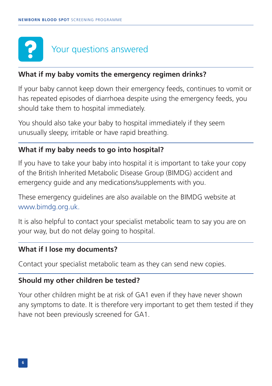# Your questions answered

#### **What if my baby vomits the emergency regimen drinks?**

If your baby cannot keep down their emergency feeds, continues to vomit or has repeated episodes of diarrhoea despite using the emergency feeds, you should take them to hospital immediately.

You should also take your baby to hospital immediately if they seem unusually sleepy, irritable or have rapid breathing.

#### **What if my baby needs to go into hospital?**

If you have to take your baby into hospital it is important to take your copy of the British Inherited Metabolic Disease Group (BIMDG) accident and emergency guide and any medications/supplements with you.

These emergency guidelines are also available on the BIMDG website at www.bimdg.org.uk.

It is also helpful to contact your specialist metabolic team to say you are on your way, but do not delay going to hospital.

#### **What if I lose my documents?**

Contact your specialist metabolic team as they can send new copies.

#### **Should my other children be tested?**

Your other children might be at risk of GA1 even if they have never shown any symptoms to date. It is therefore very important to get them tested if they have not been previously screened for GA1.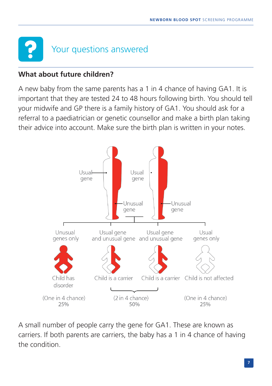# Your questions answered

#### **What about future children?**

A new baby from the same parents has a 1 in 4 chance of having GA1. It is important that they are tested 24 to 48 hours following birth. You should tell your midwife and GP there is a family history of GA1. You should ask for a referral to a paediatrician or genetic counsellor and make a birth plan taking their advice into account. Make sure the birth plan is written in your notes.



A small number of people carry the gene for GA1. These are known as carriers. If both parents are carriers, the baby has a 1 in 4 chance of having the condition.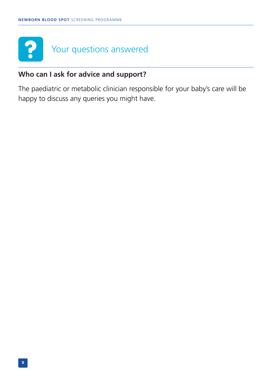

#### **Who can I ask for advice and support?**

The paediatric or metabolic clinician responsible for your baby's care will be happy to discuss any queries you might have.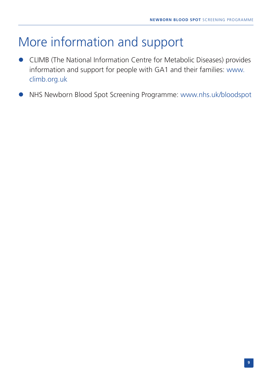## More information and support

- **CLIMB (The National Information Centre for Metabolic Diseases) provides** information and support for people with GA1 and their families: [www.](www.climb.org.uk) [climb.org.uk](www.climb.org.uk)
- l NHS Newborn Blood Spot Screening Programme: <www.nhs.uk/bloodspot>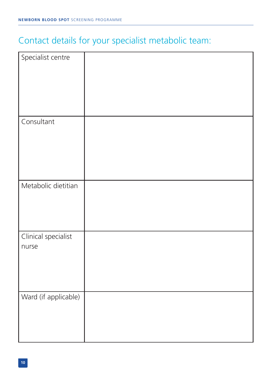## Contact details for your specialist metabolic team:

| Specialist centre            |  |
|------------------------------|--|
| Consultant                   |  |
| Metabolic dietitian          |  |
| Clinical specialist<br>nurse |  |
| Ward (if applicable)         |  |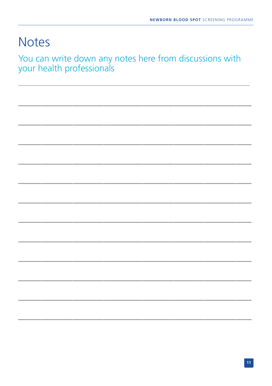## **Notes**

You can write down any notes here from discussions with<br>your health professionals